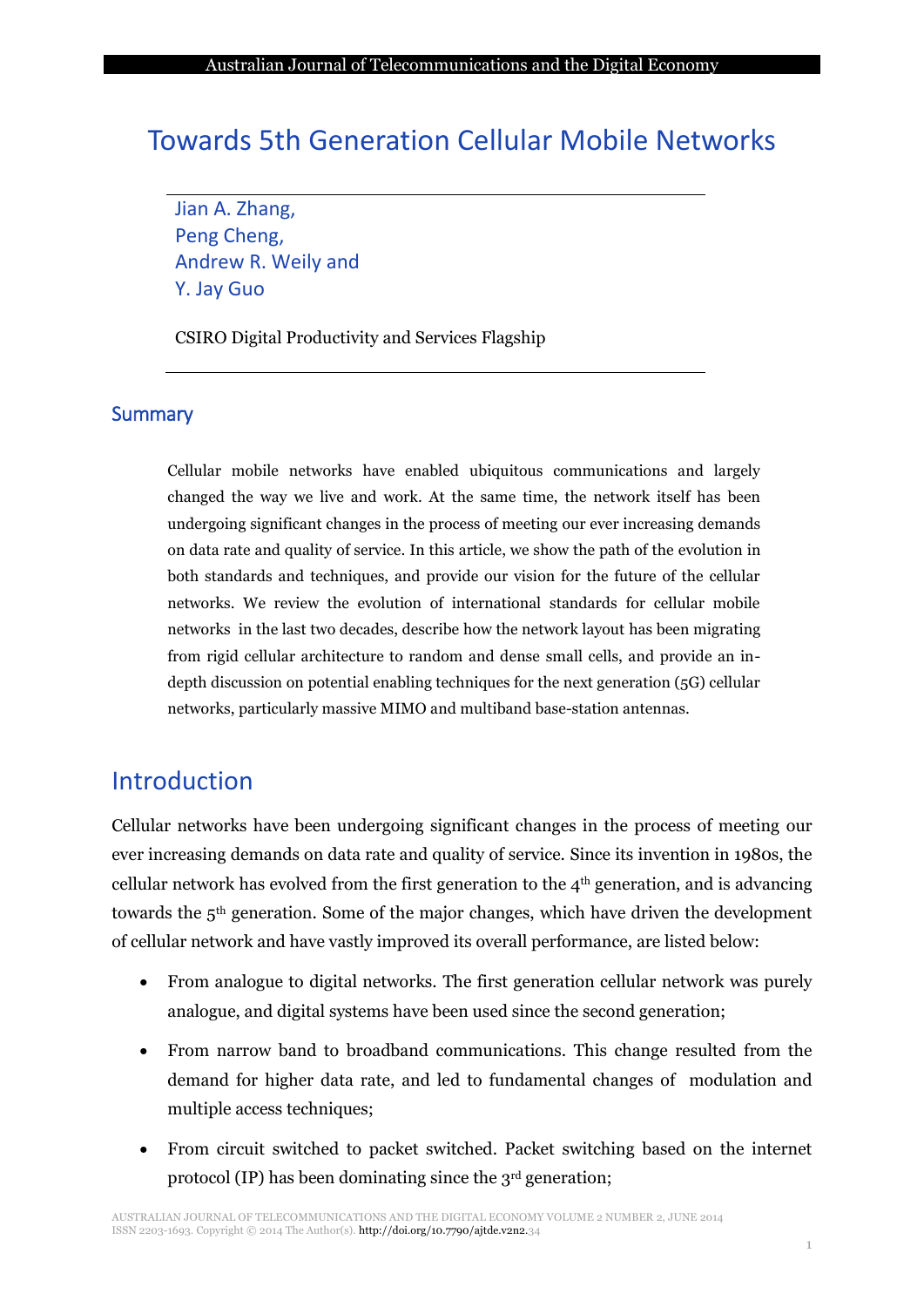# Towards 5th Generation Cellular Mobile Networks

Jian A. Zhang, Peng Cheng, Andrew R. Weily and Y. Jay Guo

CSIRO Digital Productivity and Services Flagship

### **Summary**

Cellular mobile networks have enabled ubiquitous communications and largely changed the way we live and work. At the same time, the network itself has been undergoing significant changes in the process of meeting our ever increasing demands on data rate and quality of service. In this article, we show the path of the evolution in both standards and techniques, and provide our vision for the future of the cellular networks. We review the evolution of international standards for cellular mobile networks in the last two decades, describe how the network layout has been migrating from rigid cellular architecture to random and dense small cells, and provide an indepth discussion on potential enabling techniques for the next generation (5G) cellular networks, particularly massive MIMO and multiband base-station antennas.

## Introduction

Cellular networks have been undergoing significant changes in the process of meeting our ever increasing demands on data rate and quality of service. Since its invention in 1980s, the cellular network has evolved from the first generation to the  $4<sup>th</sup>$  generation, and is advancing towards the 5th generation. Some of the major changes, which have driven the development of cellular network and have vastly improved its overall performance, are listed below:

- From analogue to digital networks. The first generation cellular network was purely analogue, and digital systems have been used since the second generation;
- From narrow band to broadband communications. This change resulted from the demand for higher data rate, and led to fundamental changes of modulation and multiple access techniques;
- From circuit switched to packet switched. Packet switching based on the internet protocol (IP) has been dominating since the 3rd generation;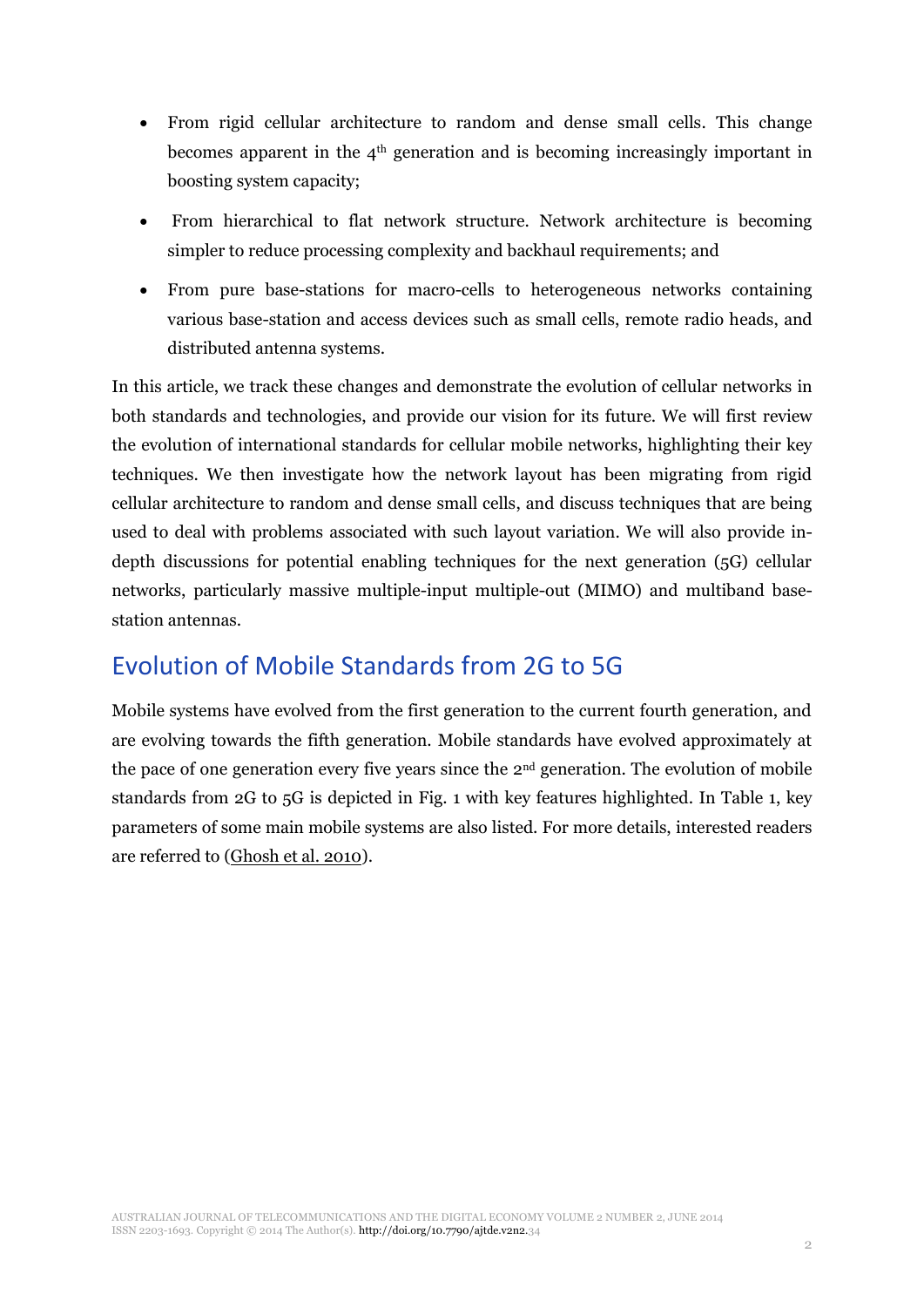- From rigid cellular architecture to random and dense small cells. This change becomes apparent in the 4th generation and is becoming increasingly important in boosting system capacity;
- From hierarchical to flat network structure. Network architecture is becoming simpler to reduce processing complexity and backhaul requirements; and
- From pure base-stations for macro-cells to heterogeneous networks containing various base-station and access devices such as small cells, remote radio heads, and distributed antenna systems.

In this article, we track these changes and demonstrate the evolution of cellular networks in both standards and technologies, and provide our vision for its future. We will first review the evolution of international standards for cellular mobile networks, highlighting their key techniques. We then investigate how the network layout has been migrating from rigid cellular architecture to random and dense small cells, and discuss techniques that are being used to deal with problems associated with such layout variation. We will also provide indepth discussions for potential enabling techniques for the next generation (5G) cellular networks, particularly massive multiple-input multiple-out (MIMO) and multiband basestation antennas.

## Evolution of Mobile Standards from 2G to 5G

Mobile systems have evolved from the first generation to the current fourth generation, and are evolving towards the fifth generation. Mobile standards have evolved approximately at the pace of one generation every five years since the 2nd generation. The evolution of mobile standards from 2G to 5G is depicted in Fig. 1 with key features highlighted. In Table 1, key parameters of some main mobile systems are also listed. For more details, interested readers are referred to [\(Ghosh et al. 2010\)](#page-13-0).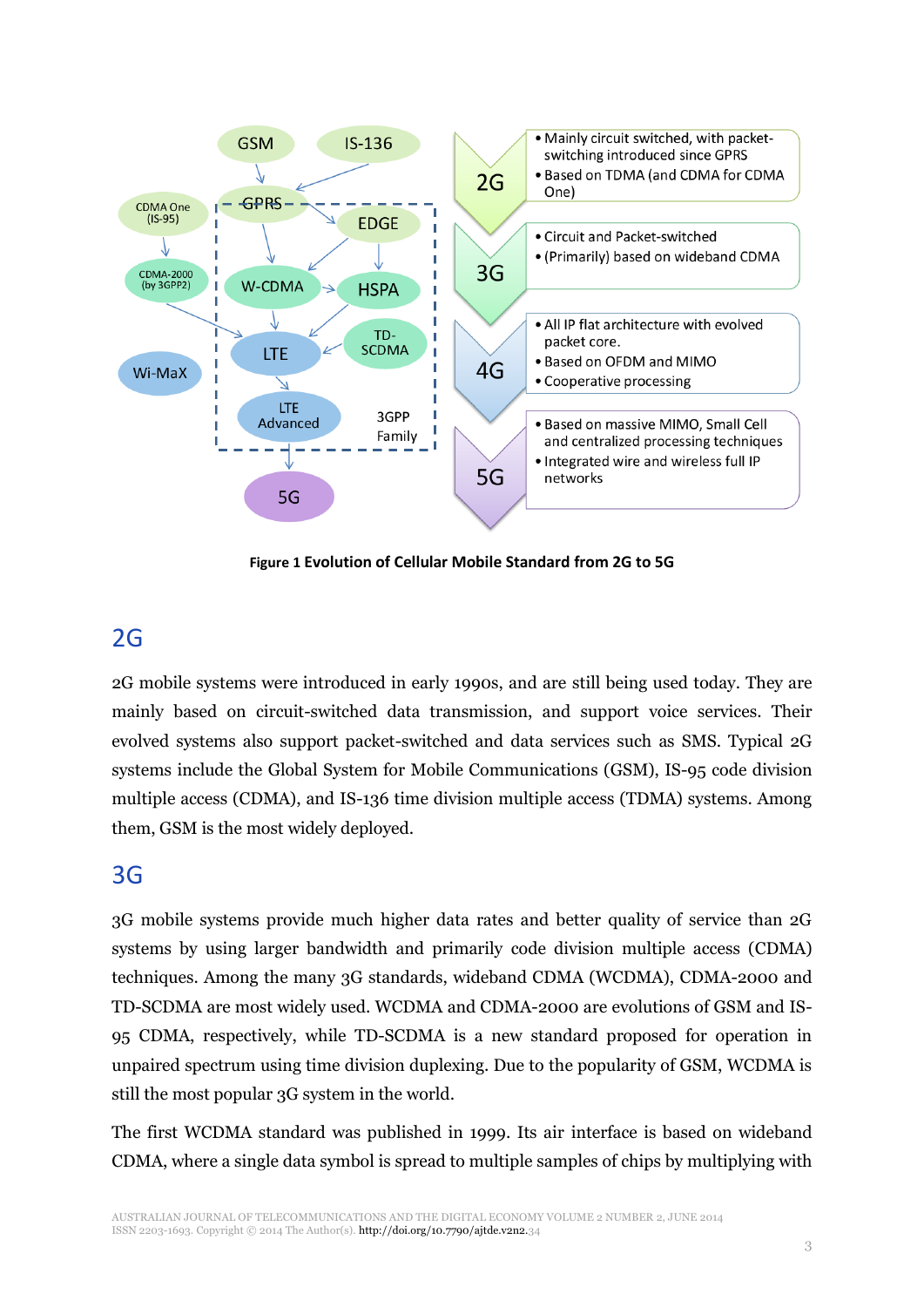

**Figure 1 Evolution of Cellular Mobile Standard from 2G to 5G**

## 2G

2G mobile systems were introduced in early 1990s, and are still being used today. They are mainly based on circuit-switched data transmission, and support voice services. Their evolved systems also support packet-switched and data services such as SMS. Typical 2G systems include the Global System for Mobile Communications (GSM), IS-95 code division multiple access (CDMA), and IS-136 time division multiple access (TDMA) systems. Among them, GSM is the most widely deployed.

### 3G

3G mobile systems provide much higher data rates and better quality of service than 2G systems by using larger bandwidth and primarily code division multiple access (CDMA) techniques. Among the many 3G standards, wideband CDMA (WCDMA), CDMA-2000 and TD-SCDMA are most widely used. WCDMA and CDMA-2000 are evolutions of GSM and IS-95 CDMA, respectively, while TD-SCDMA is a new standard proposed for operation in unpaired spectrum using time division duplexing. Due to the popularity of GSM, WCDMA is still the most popular 3G system in the world.

The first WCDMA standard was published in 1999. Its air interface is based on wideband CDMA, where a single data symbol is spread to multiple samples of chips by multiplying with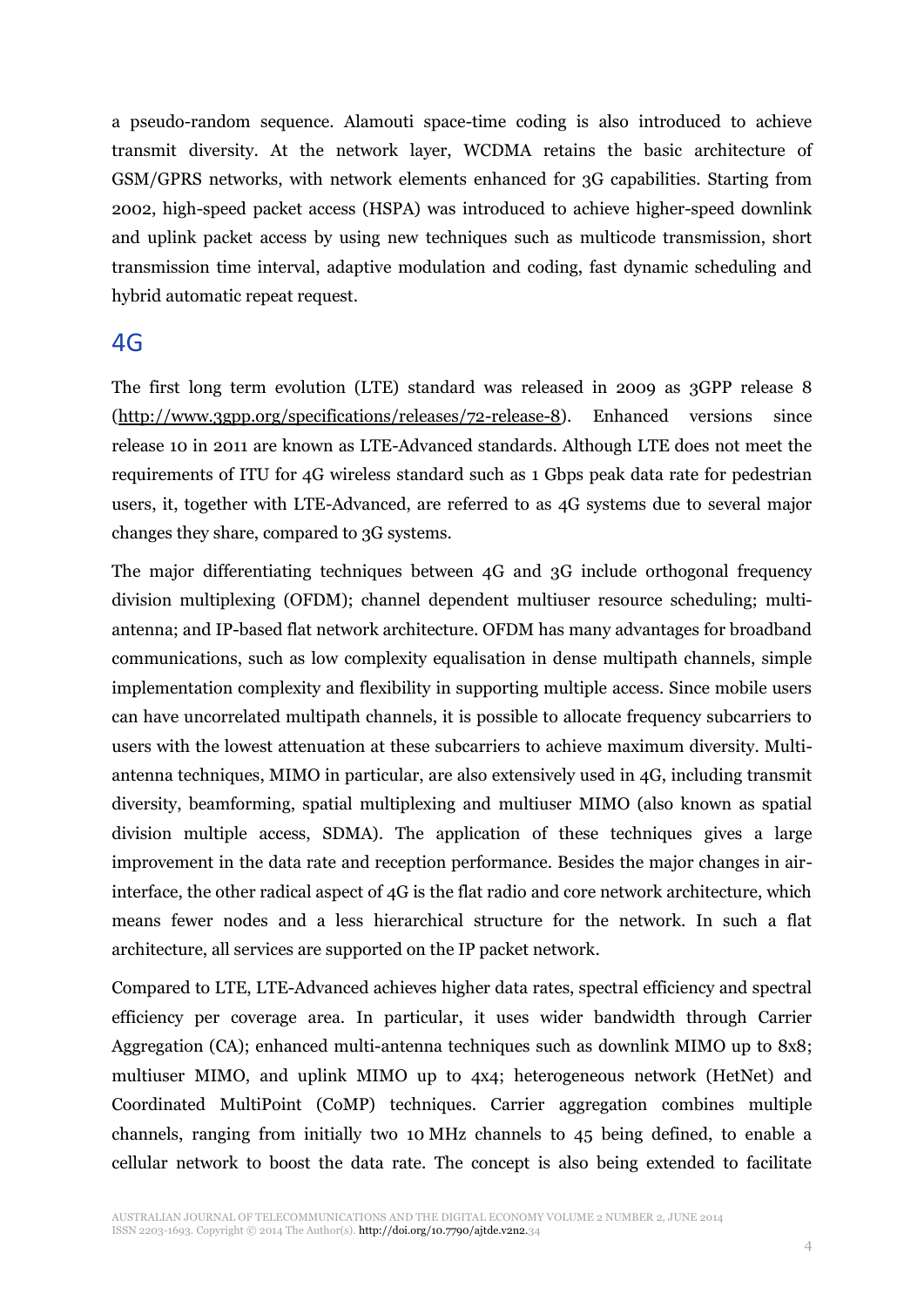a pseudo-random sequence. Alamouti space-time coding is also introduced to achieve transmit diversity. At the network layer, WCDMA retains the basic architecture of GSM/GPRS networks, with network elements enhanced for 3G capabilities. Starting from 2002, high-speed packet access (HSPA) was introduced to achieve higher-speed downlink and uplink packet access by using new techniques such as multicode transmission, short transmission time interval, adaptive modulation and coding, fast dynamic scheduling and hybrid automatic repeat request.

### 4G

The first long term evolution (LTE) standard was released in 2009 as 3GPP release 8 [\(http://www.3gpp.org/specifications/releases/72-release-8\)](http://www.3gpp.org/specifications/releases/72-release-8). Enhanced versions since release 10 in 2011 are known as LTE-Advanced standards. Although LTE does not meet the requirements of ITU for 4G wireless standard such as 1 Gbps peak data rate for pedestrian users, it, together with LTE-Advanced, are referred to as 4G systems due to several major changes they share, compared to 3G systems.

The major differentiating techniques between 4G and 3G include orthogonal frequency division multiplexing (OFDM); channel dependent multiuser resource scheduling; multiantenna; and IP-based flat network architecture. OFDM has many advantages for broadband communications, such as low complexity equalisation in dense multipath channels, simple implementation complexity and flexibility in supporting multiple access. Since mobile users can have uncorrelated multipath channels, it is possible to allocate frequency subcarriers to users with the lowest attenuation at these subcarriers to achieve maximum diversity. Multiantenna techniques, MIMO in particular, are also extensively used in 4G, including transmit diversity, beamforming, spatial multiplexing and multiuser MIMO (also known as spatial division multiple access, SDMA). The application of these techniques gives a large improvement in the data rate and reception performance. Besides the major changes in airinterface, the other radical aspect of 4G is the flat radio and core network architecture, which means fewer nodes and a less hierarchical structure for the network. In such a flat architecture, all services are supported on the IP packet network.

Compared to LTE, LTE-Advanced achieves higher data rates, spectral efficiency and spectral efficiency per coverage area. In particular, it uses wider bandwidth through Carrier Aggregation (CA); enhanced multi-antenna techniques such as downlink MIMO up to 8x8; multiuser MIMO, and uplink MIMO up to 4x4; heterogeneous network (HetNet) and Coordinated MultiPoint (CoMP) techniques. Carrier aggregation combines multiple channels, ranging from initially two 10 MHz channels to 45 being defined, to enable a cellular network to boost the data rate. The concept is also being extended to facilitate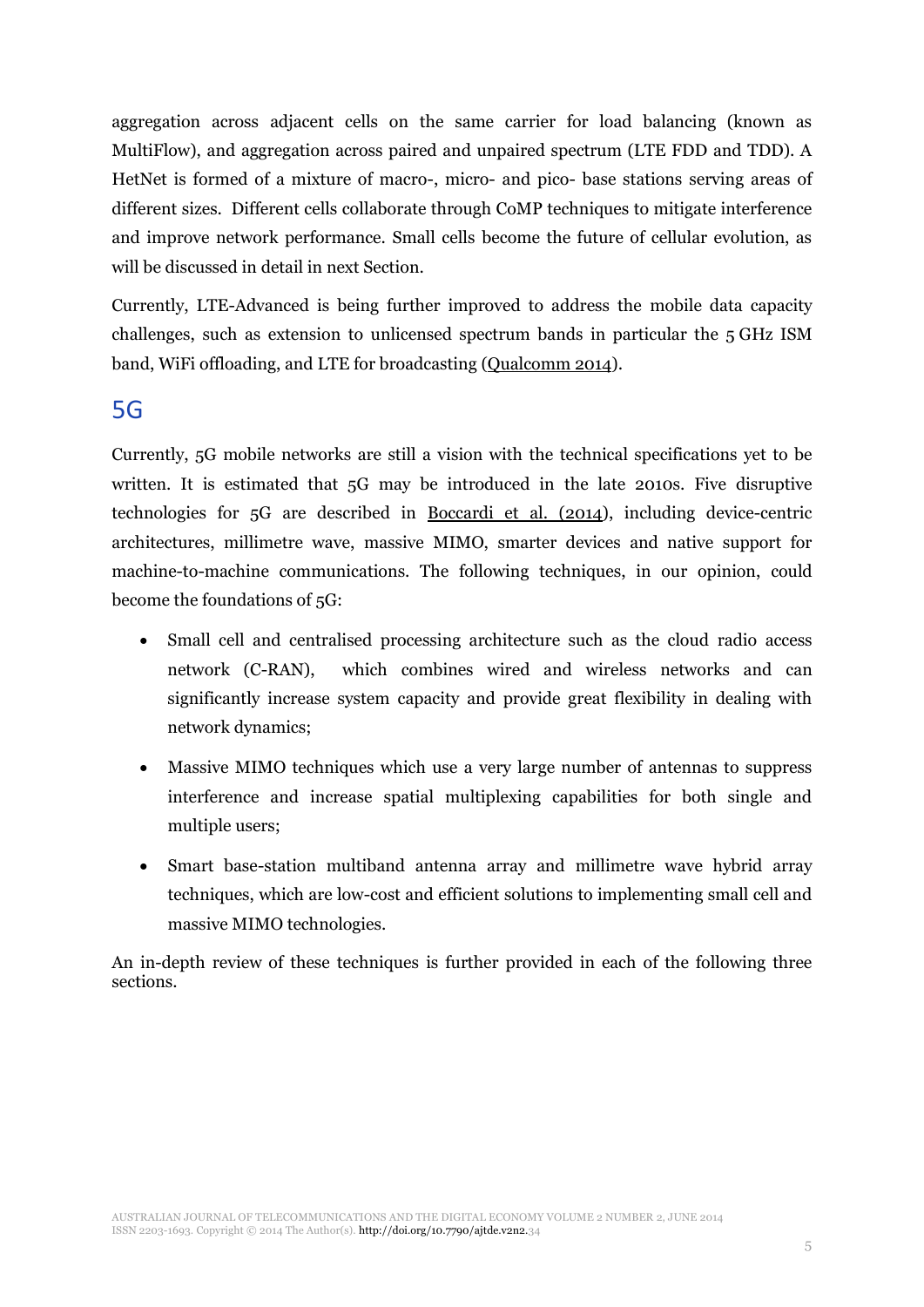aggregation across adjacent cells on the same carrier for load balancing (known as MultiFlow), and aggregation across paired and unpaired spectrum (LTE FDD and TDD). A HetNet is formed of a mixture of macro-, micro- and pico- base stations serving areas of different sizes. Different cells collaborate through CoMP techniques to mitigate interference and improve network performance. Small cells become the future of cellular evolution, as will be discussed in detail in next Section.

Currently, LTE-Advanced is being further improved to address the mobile data capacity challenges, such as extension to unlicensed spectrum bands in particular the 5 GHz ISM band, WiFi offloading, and LTE for broadcasting [\(Qualcomm 2014\)](#page-13-1).

### 5G

Currently, 5G mobile networks are still a vision with the technical specifications yet to be written. It is estimated that 5G may be introduced in the late 2010s. Five disruptive technologies for 5G are described in [Boccardi et al. \(2014\)](#page-13-2), including device-centric architectures, millimetre wave, massive MIMO, smarter devices and native support for machine-to-machine communications. The following techniques, in our opinion, could become the foundations of 5G:

- x Small cell and centralised processing architecture such as the cloud radio access network (C-RAN), which combines wired and wireless networks and can significantly increase system capacity and provide great flexibility in dealing with network dynamics;
- Massive MIMO techniques which use a very large number of antennas to suppress interference and increase spatial multiplexing capabilities for both single and multiple users;
- Smart base-station multiband antenna array and millimetre wave hybrid array techniques, which are low-cost and efficient solutions to implementing small cell and massive MIMO technologies.

An in-depth review of these techniques is further provided in each of the following three sections.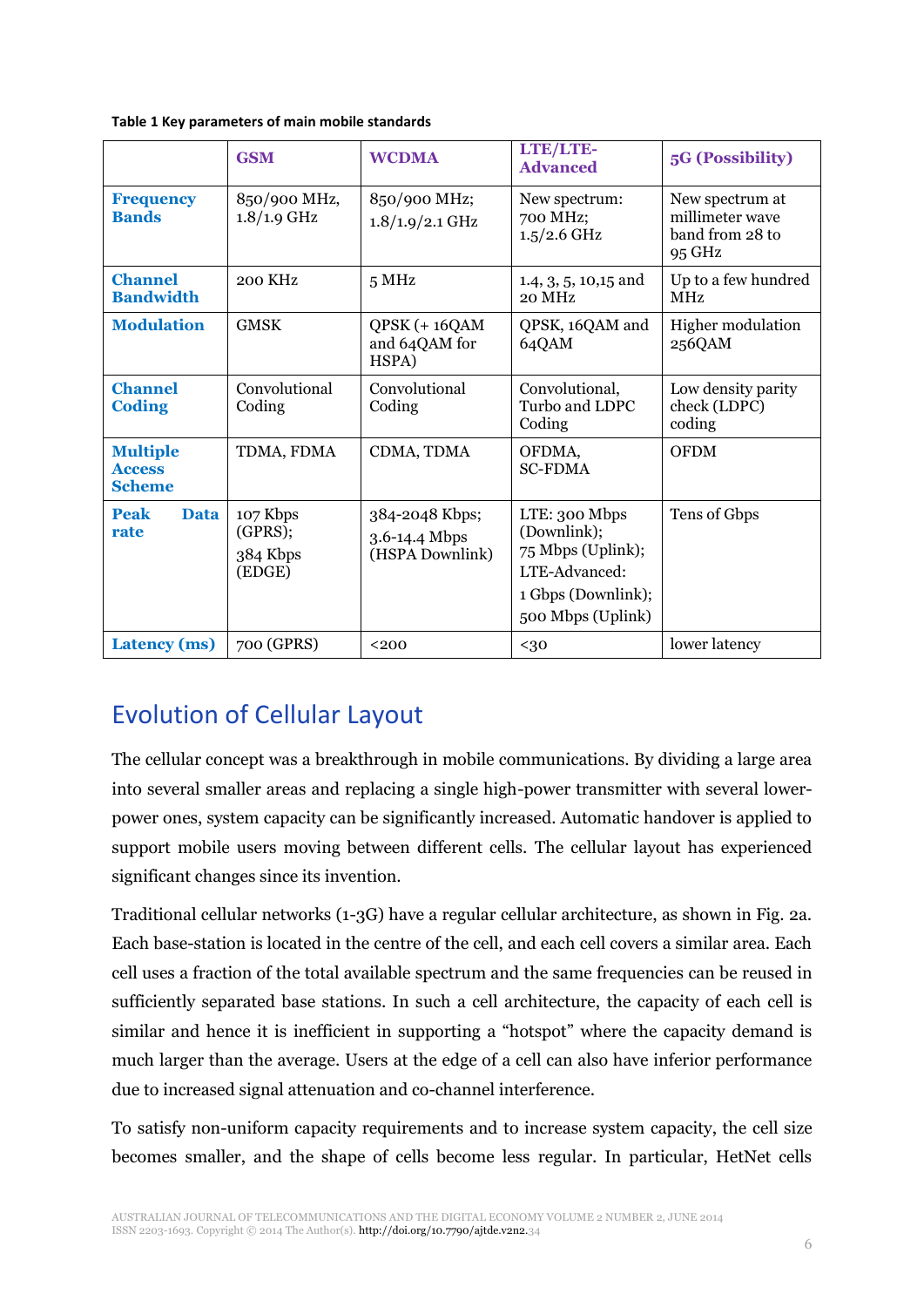|                                                   | <b>GSM</b>                                | <b>WCDMA</b>                                       | LTE/LTE-<br><b>Advanced</b>                                                                                   | 5G (Possibility)                                                |
|---------------------------------------------------|-------------------------------------------|----------------------------------------------------|---------------------------------------------------------------------------------------------------------------|-----------------------------------------------------------------|
| <b>Frequency</b><br><b>Bands</b>                  | 850/900 MHz,<br>$1.8/1.9$ GHz             | 850/900 MHz;<br>$1.8/1.9/2.1$ GHz                  | New spectrum:<br>700 MHz;<br>$1.5/2.6$ GHz                                                                    | New spectrum at<br>millimeter wave<br>band from 28 to<br>95 GHz |
| <b>Channel</b><br><b>Bandwidth</b>                | 200 KHz                                   | 5 MHz                                              | $1.4, 3, 5, 10, 15$ and<br>20 MHz                                                                             | Up to a few hundred<br><b>MHz</b>                               |
| <b>Modulation</b>                                 | <b>GMSK</b>                               | $QPSK (+ 16QAM)$<br>and 64QAM for<br>HSPA)         | QPSK, 16QAM and<br>64QAM                                                                                      | Higher modulation<br>256QAM                                     |
| <b>Channel</b><br><b>Coding</b>                   | Convolutional<br>Coding                   | Convolutional<br>Coding                            | Convolutional,<br>Turbo and LDPC<br>Coding                                                                    | Low density parity<br>check (LDPC)<br>coding                    |
| <b>Multiple</b><br><b>Access</b><br><b>Scheme</b> | TDMA, FDMA                                | CDMA, TDMA                                         | OFDMA,<br><b>SC-FDMA</b>                                                                                      | <b>OFDM</b>                                                     |
| <b>Peak</b><br><b>Data</b><br>rate                | 107 Kbps<br>(GPRS);<br>384 Kbps<br>(EDGE) | 384-2048 Kbps;<br>3.6-14.4 Mbps<br>(HSPA Downlink) | LTE: 300 Mbps<br>(Downlink);<br>75 Mbps (Uplink);<br>LTE-Advanced:<br>1 Gbps (Downlink);<br>500 Mbps (Uplink) | Tens of Gbps                                                    |
| <b>Latency</b> (ms)                               | 700 (GPRS)                                | $200$                                              | $30$                                                                                                          | lower latency                                                   |

## Evolution of Cellular Layout

The cellular concept was a breakthrough in mobile communications. By dividing a large area into several smaller areas and replacing a single high-power transmitter with several lowerpower ones, system capacity can be significantly increased. Automatic handover is applied to support mobile users moving between different cells. The cellular layout has experienced significant changes since its invention.

Traditional cellular networks (1-3G) have a regular cellular architecture, as shown in Fig. 2a. Each base-station is located in the centre of the cell, and each cell covers a similar area. Each cell uses a fraction of the total available spectrum and the same frequencies can be reused in sufficiently separated base stations. In such a cell architecture, the capacity of each cell is similar and hence it is inefficient in supporting a "hotspot" where the capacity demand is much larger than the average. Users at the edge of a cell can also have inferior performance due to increased signal attenuation and co-channel interference.

To satisfy non-uniform capacity requirements and to increase system capacity, the cell size becomes smaller, and the shape of cells become less regular. In particular, HetNet cells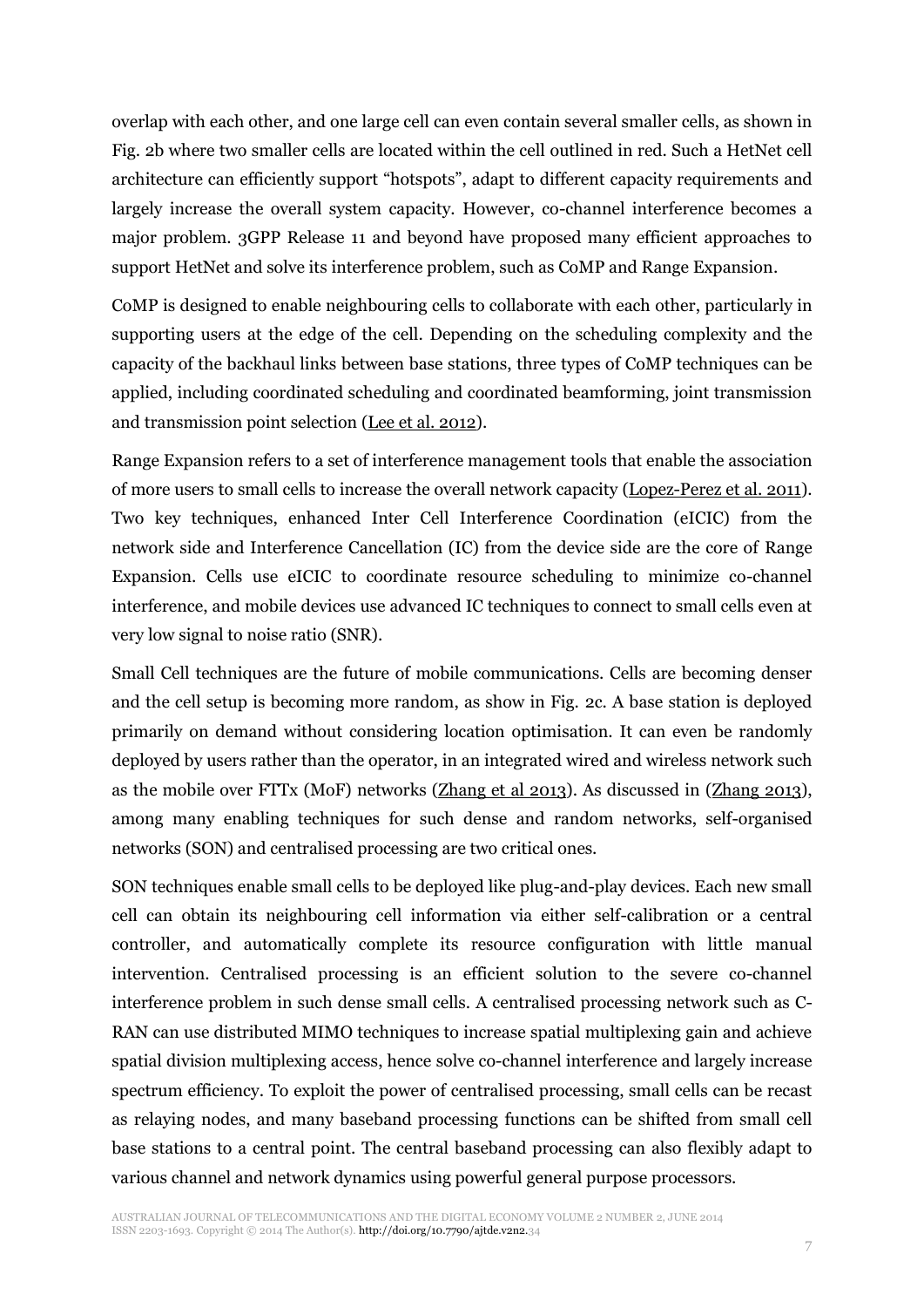overlap with each other, and one large cell can even contain several smaller cells, as shown in Fig. 2b where two smaller cells are located within the cell outlined in red. Such a HetNet cell architecture can efficiently support "hotspots", adapt to different capacity requirements and largely increase the overall system capacity. However, co-channel interference becomes a major problem. 3GPP Release 11 and beyond have proposed many efficient approaches to support HetNet and solve its interference problem, such as CoMP and Range Expansion.

CoMP is designed to enable neighbouring cells to collaborate with each other, particularly in supporting users at the edge of the cell. Depending on the scheduling complexity and the capacity of the backhaul links between base stations, three types of CoMP techniques can be applied, including coordinated scheduling and coordinated beamforming, joint transmission and transmission point selection [\(Lee et al. 2012\)](#page-13-3).

Range Expansion refers to a set of interference management tools that enable the association of more users to small cells to increase the overall network capacity [\(Lopez-Perez et al. 2011\)](#page-13-4). Two key techniques, enhanced Inter Cell Interference Coordination (eICIC) from the network side and Interference Cancellation (IC) from the device side are the core of Range Expansion. Cells use eICIC to coordinate resource scheduling to minimize co-channel interference, and mobile devices use advanced IC techniques to connect to small cells even at very low signal to noise ratio (SNR).

Small Cell techniques are the future of mobile communications. Cells are becoming denser and the cell setup is becoming more random, as show in Fig. 2c. A base station is deployed primarily on demand without considering location optimisation. It can even be randomly deployed by users rather than the operator, in an integrated wired and wireless network such as the mobile over FTTx (MoF) networks [\(Zhang et al 2013\)](#page-14-0). As discussed in [\(Zhang 2013\)](#page-14-0), among many enabling techniques for such dense and random networks, self-organised networks (SON) and centralised processing are two critical ones.

SON techniques enable small cells to be deployed like plug-and-play devices. Each new small cell can obtain its neighbouring cell information via either self-calibration or a central controller, and automatically complete its resource configuration with little manual intervention. Centralised processing is an efficient solution to the severe co-channel interference problem in such dense small cells. A centralised processing network such as C-RAN can use distributed MIMO techniques to increase spatial multiplexing gain and achieve spatial division multiplexing access, hence solve co-channel interference and largely increase spectrum efficiency. To exploit the power of centralised processing, small cells can be recast as relaying nodes, and many baseband processing functions can be shifted from small cell base stations to a central point. The central baseband processing can also flexibly adapt to various channel and network dynamics using powerful general purpose processors.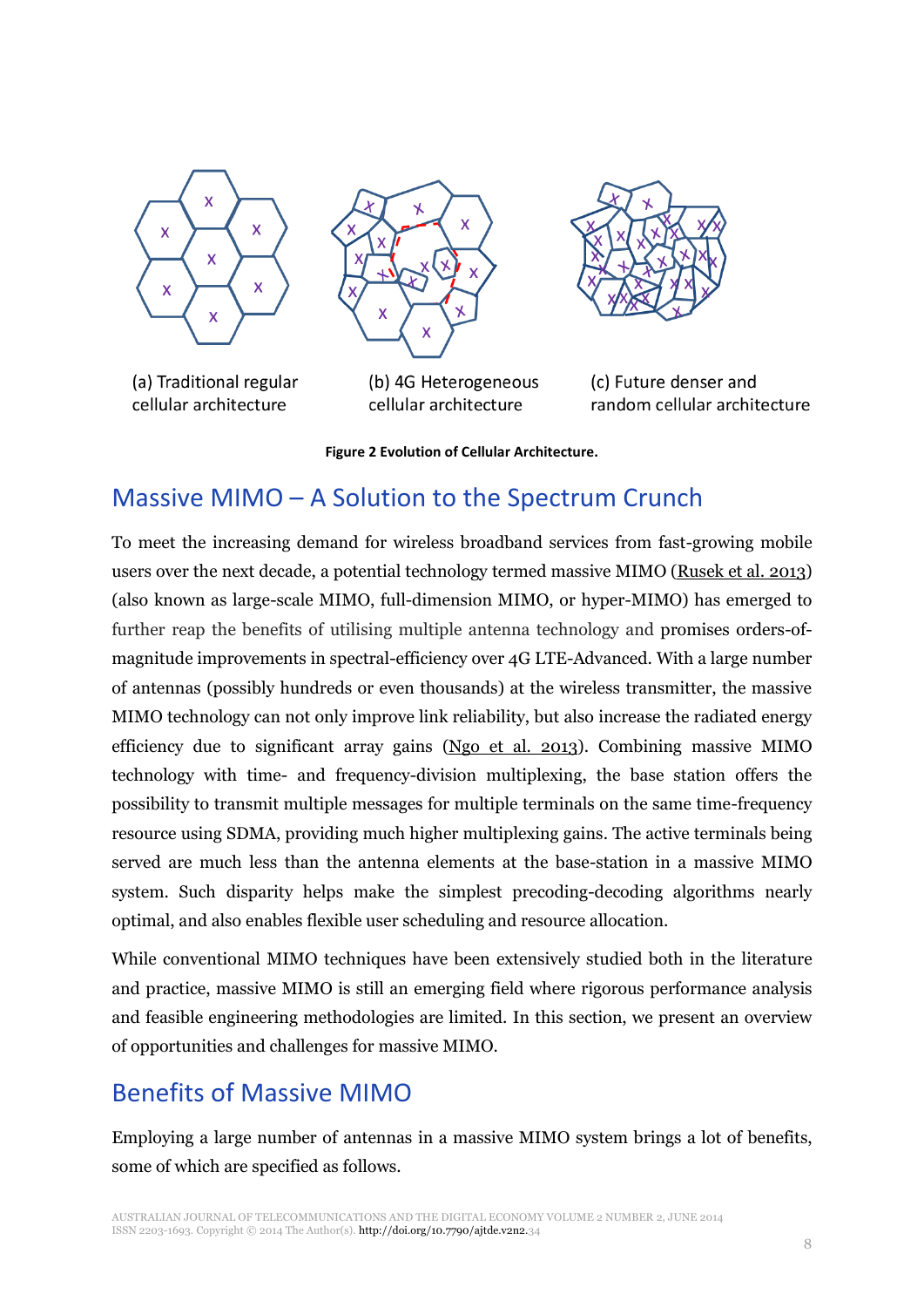

(a) Traditional regular cellular architecture



(b) 4G Heterogeneous cellular architecture



(c) Future denser and random cellular architecture

#### **Figure 2 Evolution of Cellular Architecture.**

## Massive MIMO – A Solution to the Spectrum Crunch

To meet the increasing demand for wireless broadband services from fast-growing mobile users over the next decade, a potential technology termed massive MIMO [\(Rusek et al. 2013\)](#page-14-1) (also known as large-scale MIMO, full-dimension MIMO, or hyper-MIMO) has emerged to further reap the benefits of utilising multiple antenna technology and promises orders-ofmagnitude improvements in spectral-efficiency over 4G LTE-Advanced. With a large number of antennas (possibly hundreds or even thousands) at the wireless transmitter, the massive MIMO technology can not only improve link reliability, but also increase the radiated energy efficiency due to significant array gains [\(Ngo et al. 2013\)](#page-13-5). Combining massive MIMO technology with time- and frequency-division multiplexing, the base station offers the possibility to transmit multiple messages for multiple terminals on the same time-frequency resource using SDMA, providing much higher multiplexing gains. The active terminals being served are much less than the antenna elements at the base-station in a massive MIMO system. Such disparity helps make the simplest precoding-decoding algorithms nearly optimal, and also enables flexible user scheduling and resource allocation.

While conventional MIMO techniques have been extensively studied both in the literature and practice, massive MIMO is still an emerging field where rigorous performance analysis and feasible engineering methodologies are limited. In this section, we present an overview of opportunities and challenges for massive MIMO.

## Benefits of Massive MIMO

Employing a large number of antennas in a massive MIMO system brings a lot of benefits, some of which are specified as follows.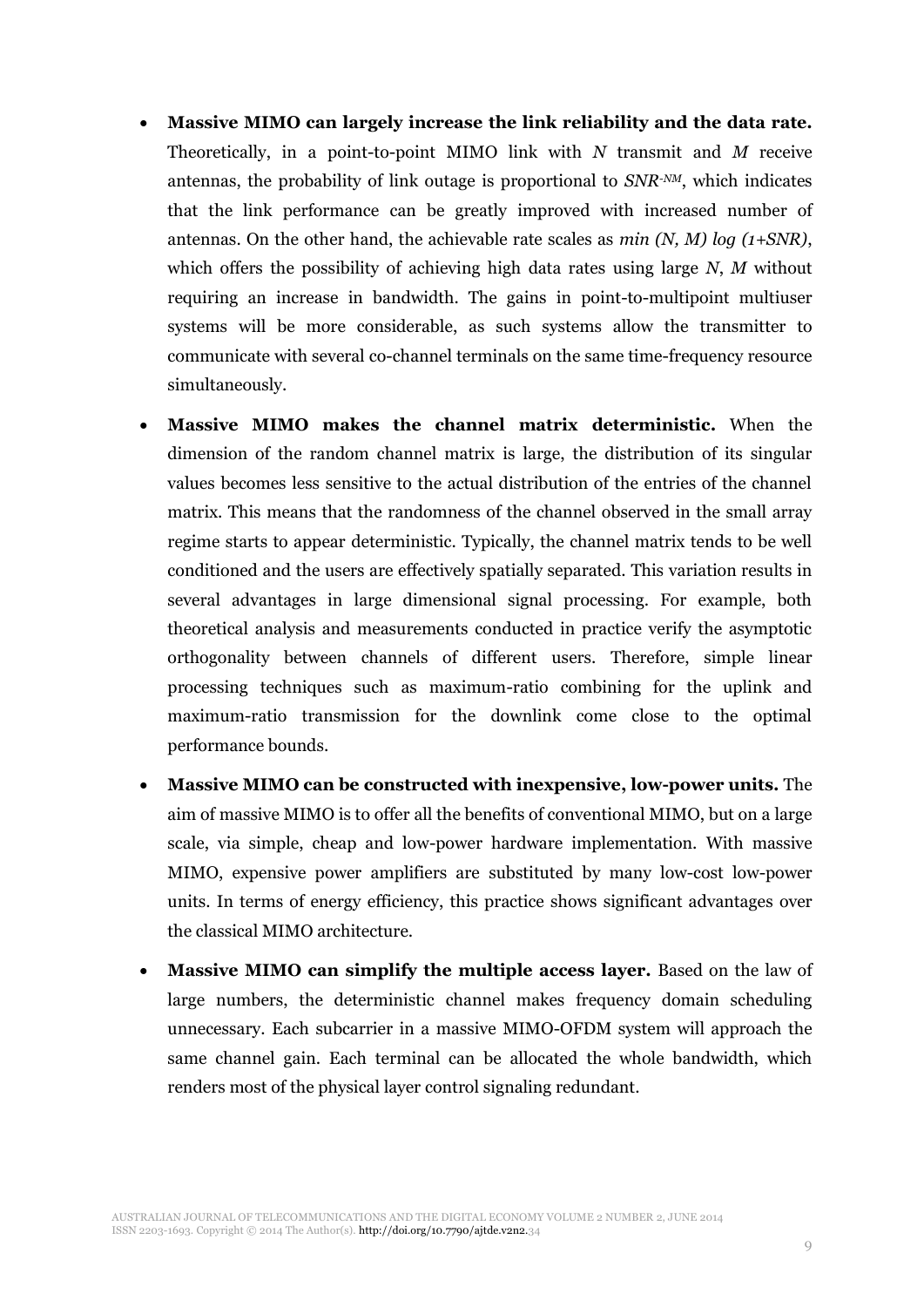- x **Massive MIMO can largely increase the link reliability and the data rate.** Theoretically, in a point-to-point MIMO link with *N* transmit and *M* receive antennas, the probability of link outage is proportional to *SNR-NM*, which indicates that the link performance can be greatly improved with increased number of antennas. On the other hand, the achievable rate scales as *min (N, M) log (1+SNR)*, which offers the possibility of achieving high data rates using large *N*, *M* without requiring an increase in bandwidth. The gains in point-to-multipoint multiuser systems will be more considerable, as such systems allow the transmitter to communicate with several co-channel terminals on the same time-frequency resource simultaneously.
- x **Massive MIMO makes the channel matrix deterministic.** When the dimension of the random channel matrix is large, the distribution of its singular values becomes less sensitive to the actual distribution of the entries of the channel matrix. This means that the randomness of the channel observed in the small array regime starts to appear deterministic. Typically, the channel matrix tends to be well conditioned and the users are effectively spatially separated. This variation results in several advantages in large dimensional signal processing. For example, both theoretical analysis and measurements conducted in practice verify the asymptotic orthogonality between channels of different users. Therefore, simple linear processing techniques such as maximum-ratio combining for the uplink and maximum-ratio transmission for the downlink come close to the optimal performance bounds.
- x **Massive MIMO can be constructed with inexpensive, low-power units.** The aim of massive MIMO is to offer all the benefits of conventional MIMO, but on a large scale, via simple, cheap and low-power hardware implementation. With massive MIMO, expensive power amplifiers are substituted by many low-cost low-power units. In terms of energy efficiency, this practice shows significant advantages over the classical MIMO architecture.
- x **Massive MIMO can simplify the multiple access layer.** Based on the law of large numbers, the deterministic channel makes frequency domain scheduling unnecessary. Each subcarrier in a massive MIMO-OFDM system will approach the same channel gain. Each terminal can be allocated the whole bandwidth, which renders most of the physical layer control signaling redundant.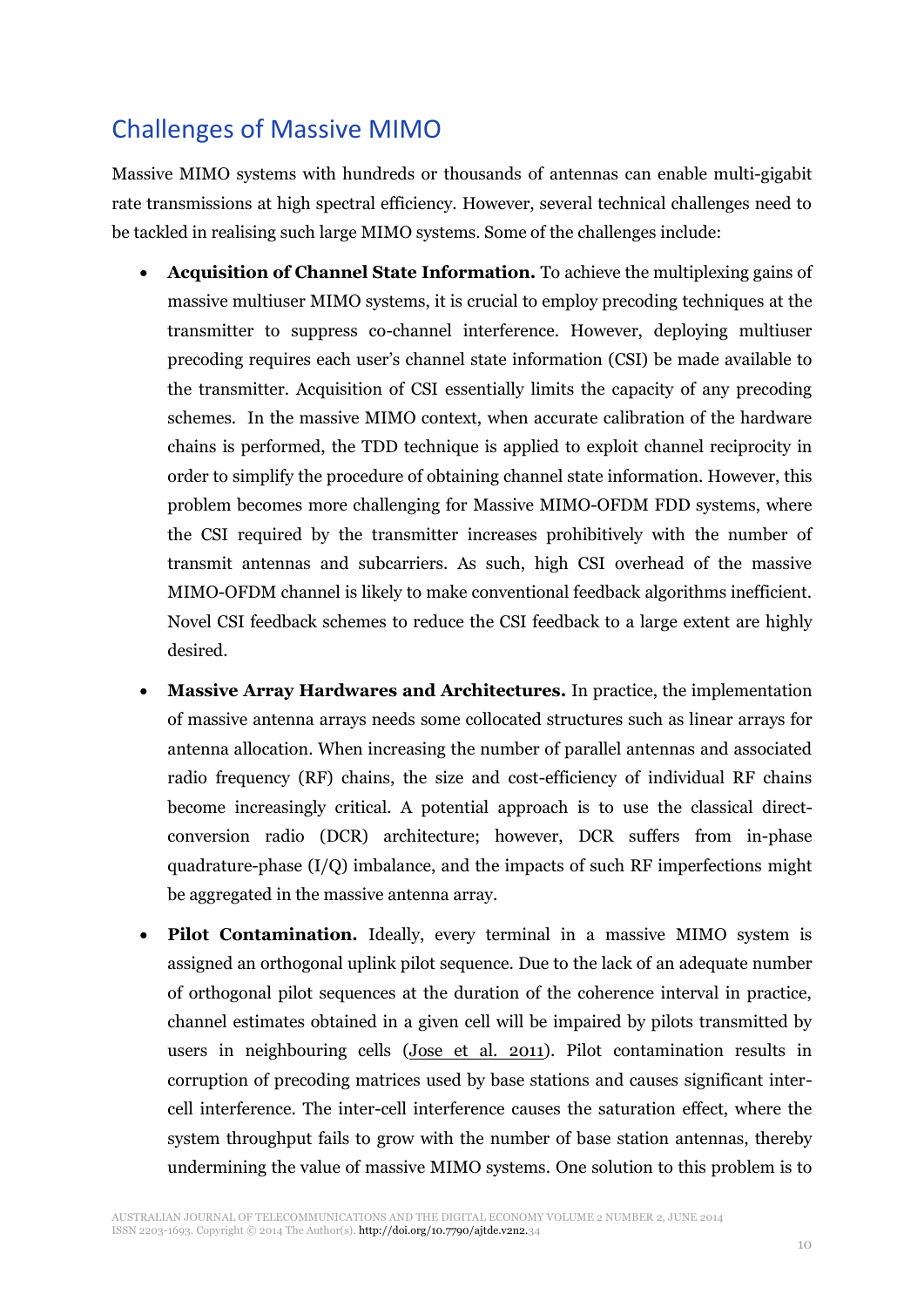# Challenges of Massive MIMO

Massive MIMO systems with hundreds or thousands of antennas can enable multi-gigabit rate transmissions at high spectral efficiency. However, several technical challenges need to be tackled in realising such large MIMO systems. Some of the challenges include:

- **Acquisition of Channel State Information.** To achieve the multiplexing gains of massive multiuser MIMO systems, it is crucial to employ precoding techniques at the transmitter to suppress co-channel interference. However, deploying multiuser precoding requires each user's channel state information (CSI) be made available to the transmitter. Acquisition of CSI essentially limits the capacity of any precoding schemes. In the massive MIMO context, when accurate calibration of the hardware chains is performed, the TDD technique is applied to exploit channel reciprocity in order to simplify the procedure of obtaining channel state information. However, this problem becomes more challenging for Massive MIMO-OFDM FDD systems, where the CSI required by the transmitter increases prohibitively with the number of transmit antennas and subcarriers. As such, high CSI overhead of the massive MIMO-OFDM channel is likely to make conventional feedback algorithms inefficient. Novel CSI feedback schemes to reduce the CSI feedback to a large extent are highly desired.
- x **Massive Array Hardwares and Architectures.** In practice, the implementation of massive antenna arrays needs some collocated structures such as linear arrays for antenna allocation. When increasing the number of parallel antennas and associated radio frequency (RF) chains, the size and cost-efficiency of individual RF chains become increasingly critical. A potential approach is to use the classical directconversion radio (DCR) architecture; however, DCR suffers from in-phase quadrature-phase (I/Q) imbalance, and the impacts of such RF imperfections might be aggregated in the massive antenna array.
- Pilot Contamination. Ideally, every terminal in a massive MIMO system is assigned an orthogonal uplink pilot sequence. Due to the lack of an adequate number of orthogonal pilot sequences at the duration of the coherence interval in practice, channel estimates obtained in a given cell will be impaired by pilots transmitted by users in neighbouring cells [\(Jose et al. 2011\)](#page-13-6). Pilot contamination results in corruption of precoding matrices used by base stations and causes significant intercell interference. The inter-cell interference causes the saturation effect, where the system throughput fails to grow with the number of base station antennas, thereby undermining the value of massive MIMO systems. One solution to this problem is to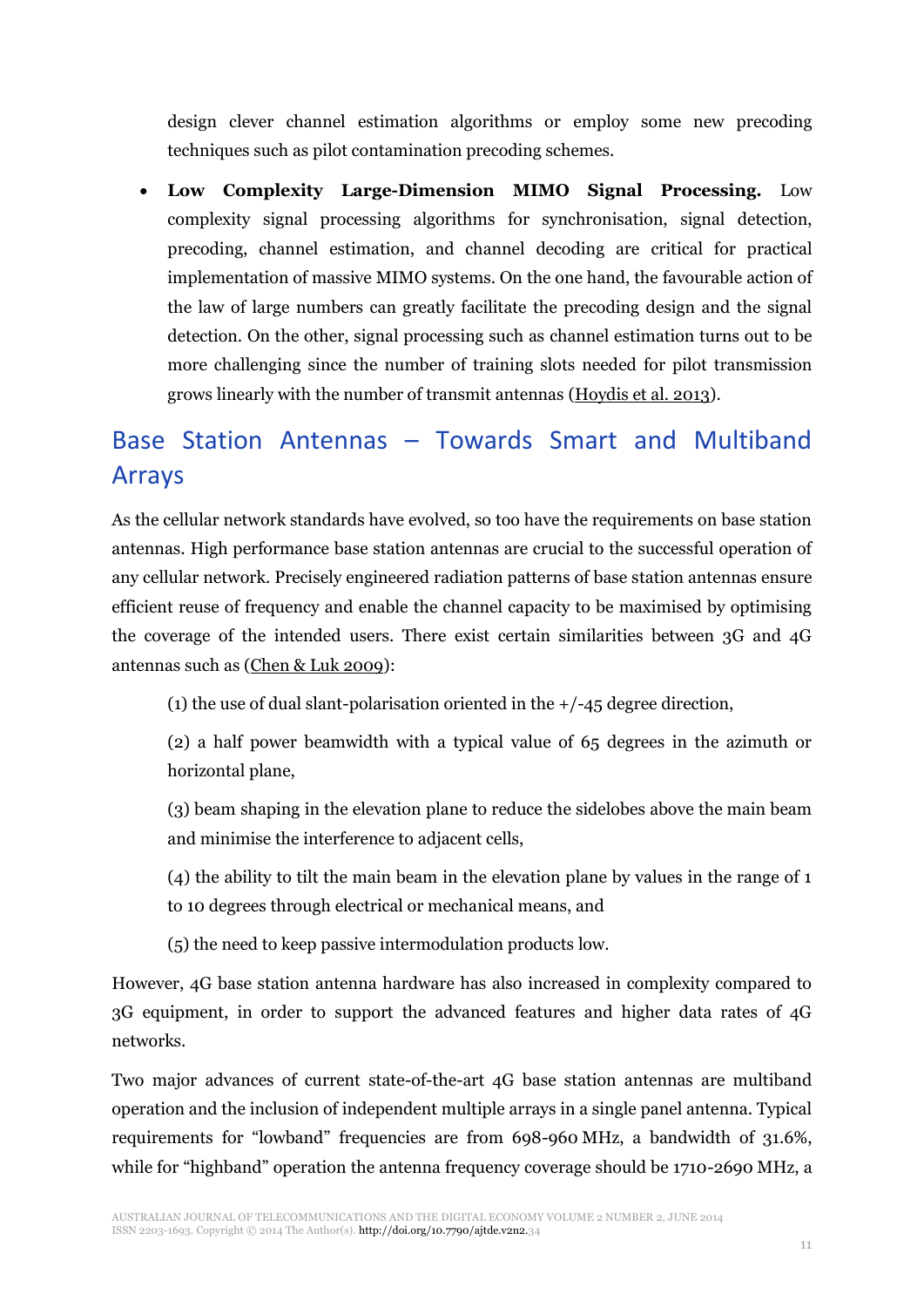design clever channel estimation algorithms or employ some new precoding techniques such as pilot contamination precoding schemes.

x **Low Complexity Large-Dimension MIMO Signal Processing.** Low complexity signal processing algorithms for synchronisation, signal detection, precoding, channel estimation, and channel decoding are critical for practical implementation of massive MIMO systems. On the one hand, the favourable action of the law of large numbers can greatly facilitate the precoding design and the signal detection. On the other, signal processing such as channel estimation turns out to be more challenging since the number of training slots needed for pilot transmission grows linearly with the number of transmit antennas [\(Hoydis et al. 2013\)](#page-13-7).

# Base Station Antennas – Towards Smart and Multiband Arrays

As the cellular network standards have evolved, so too have the requirements on base station antennas. High performance base station antennas are crucial to the successful operation of any cellular network. Precisely engineered radiation patterns of base station antennas ensure efficient reuse of frequency and enable the channel capacity to be maximised by optimising the coverage of the intended users. There exist certain similarities between 3G and 4G antennas such as [\(Chen & Luk 2009\)](#page-13-8):

(1) the use of dual slant-polarisation oriented in the +/-45 degree direction,

(2) a half power beamwidth with a typical value of 65 degrees in the azimuth or horizontal plane,

- (3) beam shaping in the elevation plane to reduce the sidelobes above the main beam and minimise the interference to adjacent cells,
- (4) the ability to tilt the main beam in the elevation plane by values in the range of 1 to 10 degrees through electrical or mechanical means, and
- (5) the need to keep passive intermodulation products low.

However, 4G base station antenna hardware has also increased in complexity compared to 3G equipment, in order to support the advanced features and higher data rates of 4G networks.

Two major advances of current state-of-the-art 4G base station antennas are multiband operation and the inclusion of independent multiple arrays in a single panel antenna. Typical requirements for "lowband" frequencies are from 698-960 MHz, a bandwidth of 31.6%, while for "highband" operation the antenna frequency coverage should be 1710-2690 MHz, a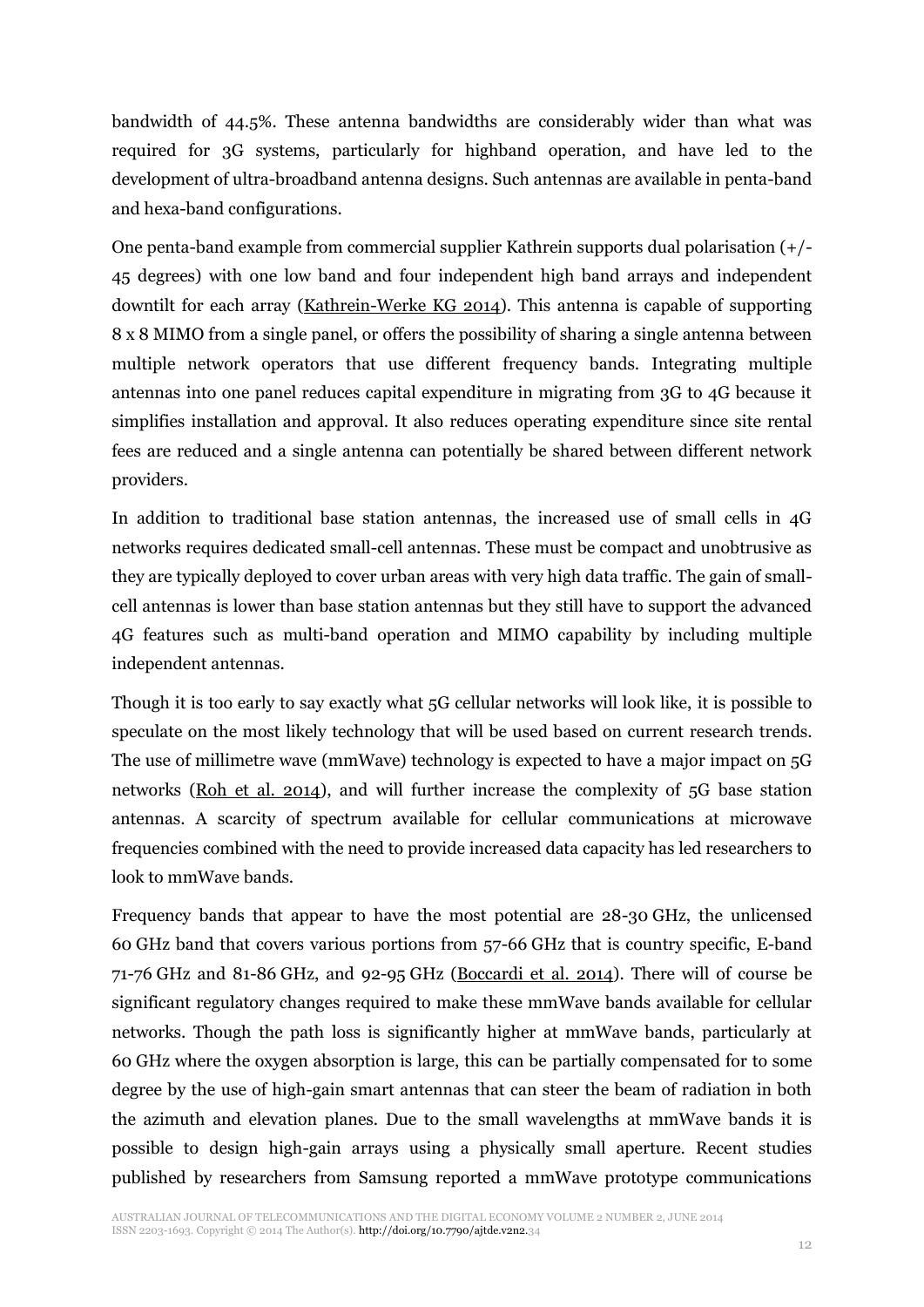bandwidth of 44.5%. These antenna bandwidths are considerably wider than what was required for 3G systems, particularly for highband operation, and have led to the development of ultra-broadband antenna designs. Such antennas are available in penta-band and hexa-band configurations.

One penta-band example from commercial supplier Kathrein supports dual polarisation (+/- 45 degrees) with one low band and four independent high band arrays and independent downtilt for each array [\(Kathrein-Werke KG 2014\)](#page-13-9). This antenna is capable of supporting 8 x 8 MIMO from a single panel, or offers the possibility of sharing a single antenna between multiple network operators that use different frequency bands. Integrating multiple antennas into one panel reduces capital expenditure in migrating from 3G to 4G because it simplifies installation and approval. It also reduces operating expenditure since site rental fees are reduced and a single antenna can potentially be shared between different network providers.

In addition to traditional base station antennas, the increased use of small cells in 4G networks requires dedicated small-cell antennas. These must be compact and unobtrusive as they are typically deployed to cover urban areas with very high data traffic. The gain of smallcell antennas is lower than base station antennas but they still have to support the advanced 4G features such as multi-band operation and MIMO capability by including multiple independent antennas.

Though it is too early to say exactly what 5G cellular networks will look like, it is possible to speculate on the most likely technology that will be used based on current research trends. The use of millimetre wave (mmWave) technology is expected to have a major impact on 5G networks [\(Roh et al. 2014\)](#page-13-10), and will further increase the complexity of 5G base station antennas. A scarcity of spectrum available for cellular communications at microwave frequencies combined with the need to provide increased data capacity has led researchers to look to mmWave bands.

Frequency bands that appear to have the most potential are 28-30 GHz, the unlicensed 60 GHz band that covers various portions from 57-66 GHz that is country specific, E-band 71-76 GHz and 81-86 GHz, and 92-95 GHz [\(Boccardi et al. 2014\)](#page-13-2). There will of course be significant regulatory changes required to make these mmWave bands available for cellular networks. Though the path loss is significantly higher at mmWave bands, particularly at 60 GHz where the oxygen absorption is large, this can be partially compensated for to some degree by the use of high-gain smart antennas that can steer the beam of radiation in both the azimuth and elevation planes. Due to the small wavelengths at mmWave bands it is possible to design high-gain arrays using a physically small aperture. Recent studies published by researchers from Samsung reported a mmWave prototype communications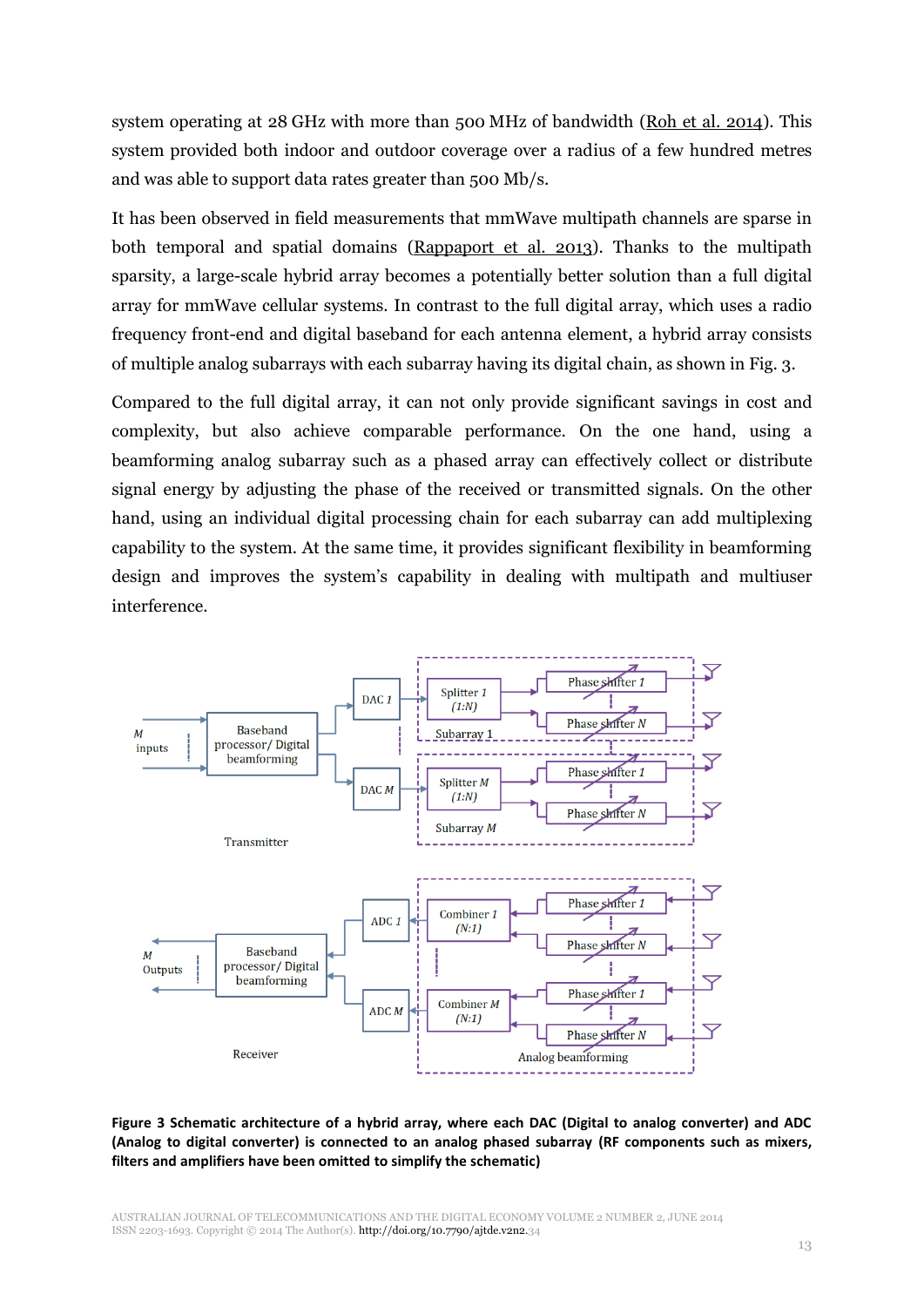system operating at 28 GHz with more than 500 MHz of bandwidth [\(Roh et al. 2014\)](#page-13-10). This system provided both indoor and outdoor coverage over a radius of a few hundred metres and was able to support data rates greater than 500 Mb/s.

It has been observed in field measurements that mmWave multipath channels are sparse in both temporal and spatial domains [\(Rappaport et al. 2013\)](#page-13-11). Thanks to the multipath sparsity, a large-scale hybrid array becomes a potentially better solution than a full digital array for mmWave cellular systems. In contrast to the full digital array, which uses a radio frequency front-end and digital baseband for each antenna element, a hybrid array consists of multiple analog subarrays with each subarray having its digital chain, as shown in Fig. 3.

Compared to the full digital array, it can not only provide significant savings in cost and complexity, but also achieve comparable performance. On the one hand, using a beamforming analog subarray such as a phased array can effectively collect or distribute signal energy by adjusting the phase of the received or transmitted signals. On the other hand, using an individual digital processing chain for each subarray can add multiplexing capability to the system. At the same time, it provides significant flexibility in beamforming design and improves the system's capability in dealing with multipath and multiuser interference.



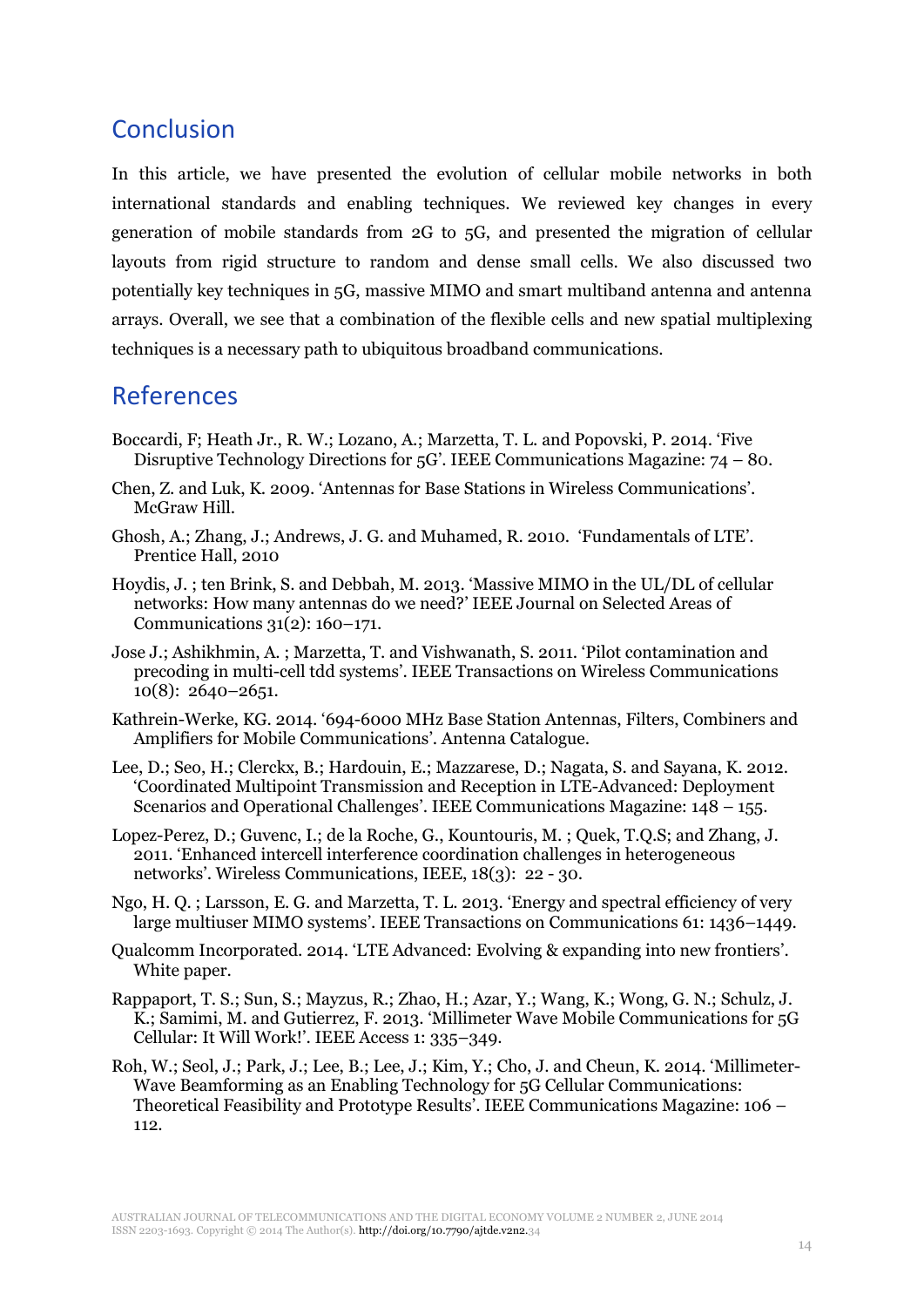## Conclusion

In this article, we have presented the evolution of cellular mobile networks in both international standards and enabling techniques. We reviewed key changes in every generation of mobile standards from 2G to 5G, and presented the migration of cellular layouts from rigid structure to random and dense small cells. We also discussed two potentially key techniques in 5G, massive MIMO and smart multiband antenna and antenna arrays. Overall, we see that a combination of the flexible cells and new spatial multiplexing techniques is a necessary path to ubiquitous broadband communications.

### References

- <span id="page-13-2"></span>Boccardi, F; Heath Jr., R. W.; Lozano, A.; Marzetta, T. L. and Popovski, P. 2014. 'Five Disruptive Technology Directions for 5G'. IEEE Communications Magazine: 74 – 80.
- <span id="page-13-8"></span>Chen, Z. and Luk, K. 2009. 'Antennas for Base Stations in Wireless Communications'. McGraw Hill.
- <span id="page-13-0"></span>Ghosh, A.; Zhang, J.; Andrews, J. G. and Muhamed, R. 2010. 'Fundamentals of LTE'. Prentice Hall, 2010
- <span id="page-13-7"></span>Hoydis, J. ; ten Brink, S. and Debbah, M. 2013. 'Massive MIMO in the UL/DL of cellular networks: How many antennas do we need?' IEEE Journal on Selected Areas of Communications 31(2): 160–171.
- <span id="page-13-6"></span>Jose J.; Ashikhmin, A. ; Marzetta, T. and Vishwanath, S. 2011. 'Pilot contamination and precoding in multi-cell tdd systems'. IEEE Transactions on Wireless Communications 10(8): 2640–2651.
- <span id="page-13-9"></span>Kathrein-Werke, KG. 2014. '694-6000 MHz Base Station Antennas, Filters, Combiners and Amplifiers for Mobile Communications'. Antenna Catalogue.
- <span id="page-13-3"></span>Lee, D.; Seo, H.; Clerckx, B.; Hardouin, E.; Mazzarese, D.; Nagata, S. and Sayana, K. 2012. 'Coordinated Multipoint Transmission and Reception in LTE-Advanced: Deployment Scenarios and Operational Challenges'. IEEE Communications Magazine: 148 – 155.
- <span id="page-13-4"></span>Lopez-Perez, D.; Guvenc, I.; de la Roche, G., Kountouris, M. ; Quek, T.Q.S; and Zhang, J. 2011. 'Enhanced intercell interference coordination challenges in heterogeneous networks'. Wireless Communications, IEEE, 18(3): 22 - 30.
- <span id="page-13-5"></span>Ngo, H. Q. ; Larsson, E. G. and Marzetta, T. L. 2013. 'Energy and spectral efficiency of very large multiuser MIMO systems'. IEEE Transactions on Communications 61: 1436–1449.
- <span id="page-13-1"></span>Qualcomm Incorporated. 2014. 'LTE Advanced: Evolving & expanding into new frontiers'. White paper.
- <span id="page-13-11"></span>Rappaport, T. S.; Sun, S.; Mayzus, R.; Zhao, H.; Azar, Y.; Wang, K.; Wong, G. N.; Schulz, J. K.; Samimi, M. and Gutierrez, F. 2013. 'Millimeter Wave Mobile Communications for 5G Cellular: It Will Work!'. IEEE Access 1: 335–349.
- <span id="page-13-10"></span>Roh, W.; Seol, J.; Park, J.; Lee, B.; Lee, J.; Kim, Y.; Cho, J. and Cheun, K. 2014. 'Millimeter-Wave Beamforming as an Enabling Technology for 5G Cellular Communications: Theoretical Feasibility and Prototype Results'. IEEE Communications Magazine: 106 – 112.